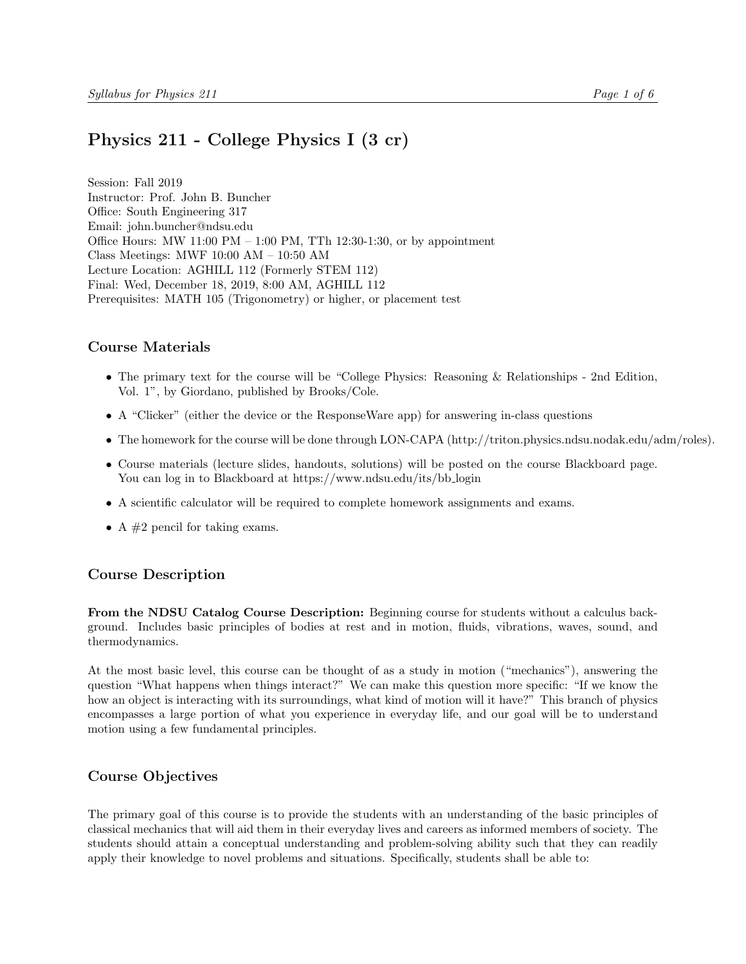# <span id="page-0-0"></span>Physics 211 - College Physics I (3 cr)

Session: Fall 2019 Instructor: Prof. John B. Buncher Office: South Engineering 317 Email: john.buncher@ndsu.edu Office Hours: MW 11:00 PM – 1:00 PM, TTh 12:30-1:30, or by appointment Class Meetings: MWF 10:00 AM – 10:50 AM Lecture Location: AGHILL 112 (Formerly STEM 112) Final: Wed, December 18, 2019, 8:00 AM, AGHILL 112 Prerequisites: MATH 105 (Trigonometry) or higher, or placement test

### Course Materials

- The primary text for the course will be "College Physics: Reasoning & Relationships 2nd Edition, Vol. 1", by Giordano, published by Brooks/Cole.
- A "Clicker" (either the device or the ResponseWare app) for answering in-class questions
- The homework for the course will be done through LON-CAPA (http://triton.physics.ndsu.nodak.edu/adm/roles).
- Course materials (lecture slides, handouts, solutions) will be posted on the course Blackboard page. You can log in to Blackboard at https://www.ndsu.edu/its/bb\_login
- A scientific calculator will be required to complete homework assignments and exams.
- A  $#2$  pencil for taking exams.

# Course Description

From the NDSU Catalog Course Description: Beginning course for students without a calculus background. Includes basic principles of bodies at rest and in motion, fluids, vibrations, waves, sound, and thermodynamics.

At the most basic level, this course can be thought of as a study in motion ("mechanics"), answering the question "What happens when things interact?" We can make this question more specific: "If we know the how an object is interacting with its surroundings, what kind of motion will it have?" This branch of physics encompasses a large portion of what you experience in everyday life, and our goal will be to understand motion using a few fundamental principles.

# Course Objectives

The primary goal of this course is to provide the students with an understanding of the basic principles of classical mechanics that will aid them in their everyday lives and careers as informed members of society. The students should attain a conceptual understanding and problem-solving ability such that they can readily apply their knowledge to novel problems and situations. Specifically, students shall be able to: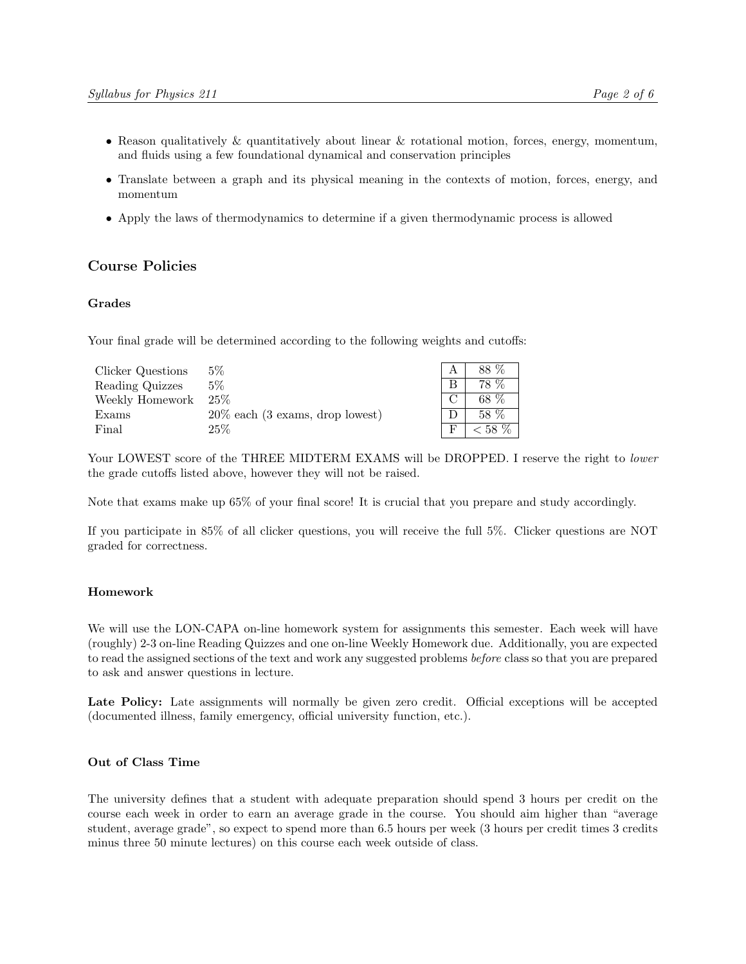- Reason qualitatively & quantitatively about linear & rotational motion, forces, energy, momentum, and fluids using a few foundational dynamical and conservation principles
- Translate between a graph and its physical meaning in the contexts of motion, forces, energy, and momentum
- Apply the laws of thermodynamics to determine if a given thermodynamic process is allowed

### Course Policies

#### Grades

Your final grade will be determined according to the following weights and cutoffs:

| Clicker Questions | $5\%$                                               | 88 %      |
|-------------------|-----------------------------------------------------|-----------|
| Reading Quizzes   | 5%                                                  | 78 %      |
| Weekly Homework   | $25\%$                                              | 68 %      |
| Exams             | $20\%$ each $(3 \text{ exams}, \text{drop lowest})$ | 58 %      |
| Final             | $25\%$                                              | $< 58 \%$ |

Your LOWEST score of the THREE MIDTERM EXAMS will be DROPPED. I reserve the right to lower the grade cutoffs listed above, however they will not be raised.

Note that exams make up 65% of your final score! It is crucial that you prepare and study accordingly.

If you participate in 85% of all clicker questions, you will receive the full 5%. Clicker questions are NOT graded for correctness.

### Homework

We will use the LON-CAPA on-line homework system for assignments this semester. Each week will have (roughly) 2-3 on-line Reading Quizzes and one on-line Weekly Homework due. Additionally, you are expected to read the assigned sections of the text and work any suggested problems before class so that you are prepared to ask and answer questions in lecture.

Late Policy: Late assignments will normally be given zero credit. Official exceptions will be accepted (documented illness, family emergency, official university function, etc.).

### Out of Class Time

The university defines that a student with adequate preparation should spend 3 hours per credit on the course each week in order to earn an average grade in the course. You should aim higher than "average student, average grade", so expect to spend more than 6.5 hours per week (3 hours per credit times 3 credits minus three 50 minute lectures) on this course each week outside of class.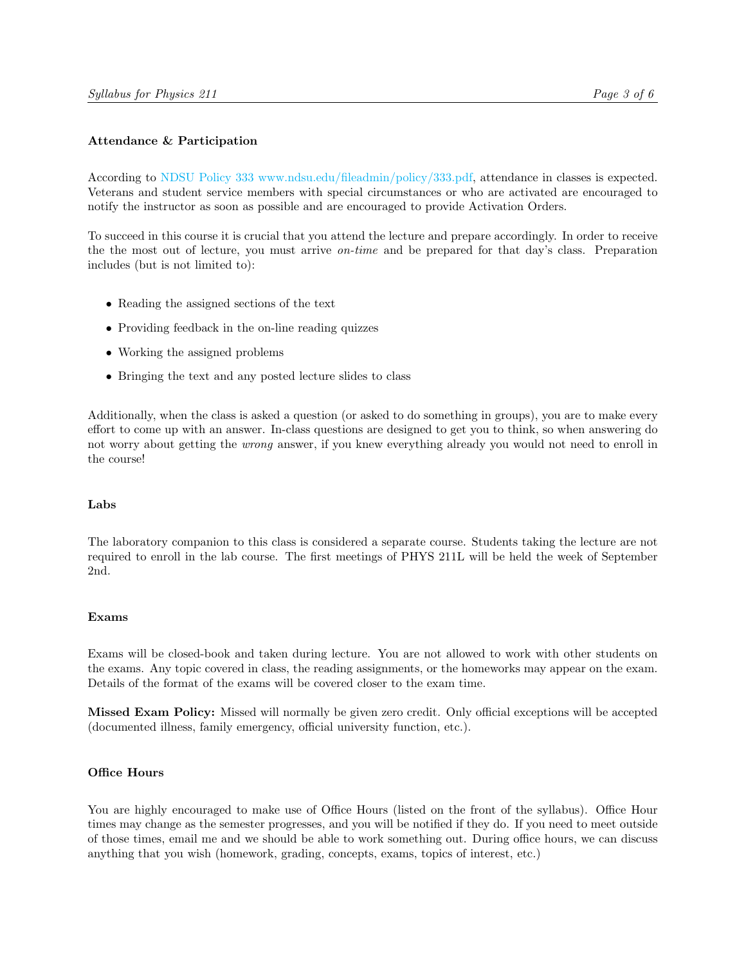### Attendance & Participation

According to [NDSU Policy 333](#page-0-0) [www.ndsu.edu/fileadmin/policy/333.pdf,](#page-0-0) attendance in classes is expected. Veterans and student service members with special circumstances or who are activated are encouraged to notify the instructor as soon as possible and are encouraged to provide Activation Orders.

To succeed in this course it is crucial that you attend the lecture and prepare accordingly. In order to receive the the most out of lecture, you must arrive on-time and be prepared for that day's class. Preparation includes (but is not limited to):

- Reading the assigned sections of the text
- Providing feedback in the on-line reading quizzes
- Working the assigned problems
- Bringing the text and any posted lecture slides to class

Additionally, when the class is asked a question (or asked to do something in groups), you are to make every effort to come up with an answer. In-class questions are designed to get you to think, so when answering do not worry about getting the wrong answer, if you knew everything already you would not need to enroll in the course!

#### Labs

The laboratory companion to this class is considered a separate course. Students taking the lecture are not required to enroll in the lab course. The first meetings of PHYS 211L will be held the week of September 2nd.

### Exams

Exams will be closed-book and taken during lecture. You are not allowed to work with other students on the exams. Any topic covered in class, the reading assignments, or the homeworks may appear on the exam. Details of the format of the exams will be covered closer to the exam time.

Missed Exam Policy: Missed will normally be given zero credit. Only official exceptions will be accepted (documented illness, family emergency, official university function, etc.).

#### Office Hours

You are highly encouraged to make use of Office Hours (listed on the front of the syllabus). Office Hour times may change as the semester progresses, and you will be notified if they do. If you need to meet outside of those times, email me and we should be able to work something out. During office hours, we can discuss anything that you wish (homework, grading, concepts, exams, topics of interest, etc.)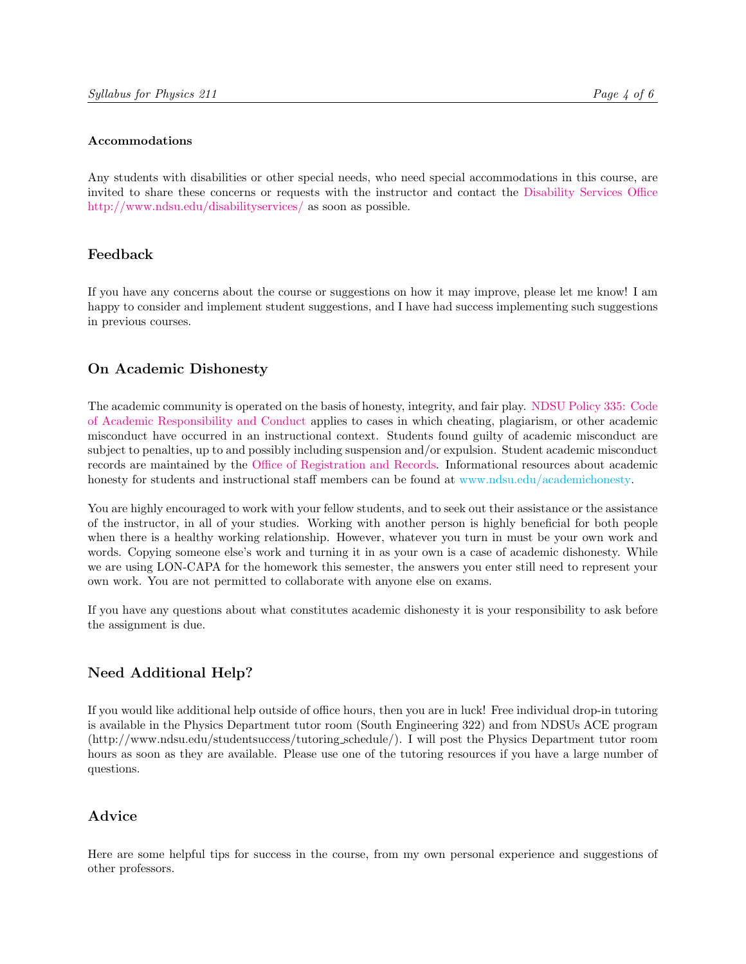### Accommodations

Any students with disabilities or other special needs, who need special accommodations in this course, are invited to share these concerns or requests with the instructor and contact the [Disability Services Office](http://www.ndsu.edu/disabilityservices) [http://www.ndsu.edu/disabilityservices/](http://www.ndsu.edu/disabilityservices) as soon as possible.

# Feedback

If you have any concerns about the course or suggestions on how it may improve, please let me know! I am happy to consider and implement student suggestions, and I have had success implementing such suggestions in previous courses.

# On Academic Dishonesty

The academic community is operated on the basis of honesty, integrity, and fair play. [NDSU Policy 335:](http://www.ndsu.edu/fileadmin/policy/335.pdf) [Code](http://www.ndsu.edu/fileadmin/policy/335.pdf) [of Academic Responsibility and Conduct](http://www.ndsu.edu/fileadmin/policy/335.pdf) applies to cases in which cheating, plagiarism, or other academic misconduct have occurred in an instructional context. Students found guilty of academic misconduct are subject to penalties, up to and possibly including suspension and/or expulsion. Student academic misconduct records are maintained by the [Office of Registration and Records.](http://www.ndsu.edu/registrar) Informational resources about academic honesty for students and instructional staff members can be found at [www.ndsu.edu/academichonesty.](#page-0-0)

You are highly encouraged to work with your fellow students, and to seek out their assistance or the assistance of the instructor, in all of your studies. Working with another person is highly beneficial for both people when there is a healthy working relationship. However, whatever you turn in must be your own work and words. Copying someone else's work and turning it in as your own is a case of academic dishonesty. While we are using LON-CAPA for the homework this semester, the answers you enter still need to represent your own work. You are not permitted to collaborate with anyone else on exams.

If you have any questions about what constitutes academic dishonesty it is your responsibility to ask before the assignment is due.

# Need Additional Help?

If you would like additional help outside of office hours, then you are in luck! Free individual drop-in tutoring is available in the Physics Department tutor room (South Engineering 322) and from NDSUs ACE program (http://www.ndsu.edu/studentsuccess/tutoring schedule/). I will post the Physics Department tutor room hours as soon as they are available. Please use one of the tutoring resources if you have a large number of questions.

# Advice

Here are some helpful tips for success in the course, from my own personal experience and suggestions of other professors.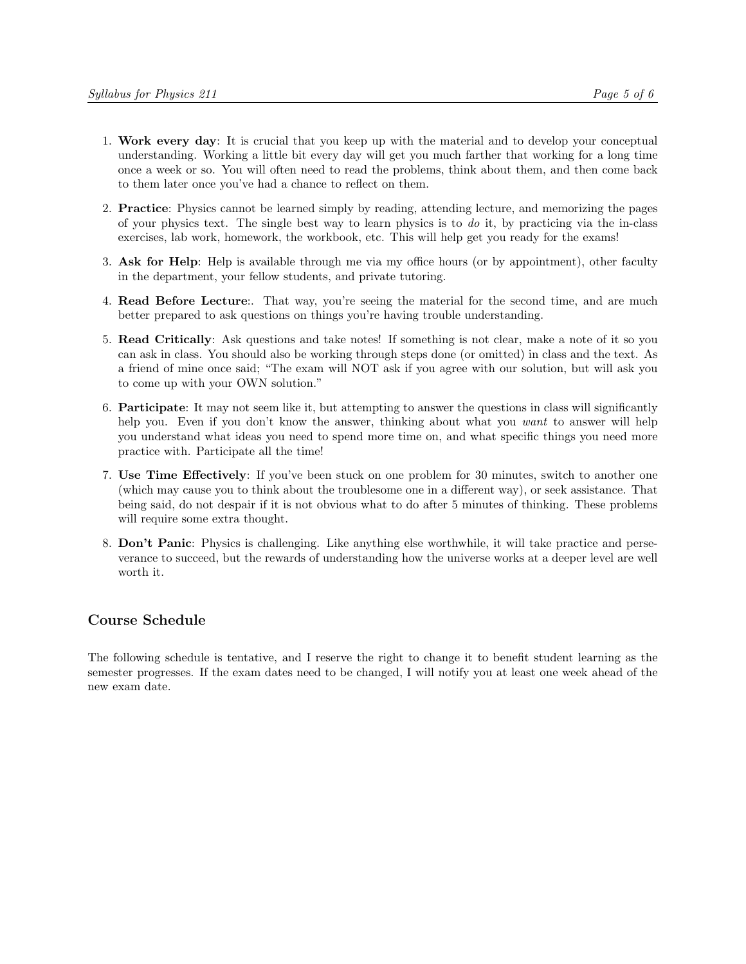- 1. Work every day: It is crucial that you keep up with the material and to develop your conceptual understanding. Working a little bit every day will get you much farther that working for a long time once a week or so. You will often need to read the problems, think about them, and then come back to them later once you've had a chance to reflect on them.
- 2. Practice: Physics cannot be learned simply by reading, attending lecture, and memorizing the pages of your physics text. The single best way to learn physics is to  $d\sigma$  it, by practicing via the in-class exercises, lab work, homework, the workbook, etc. This will help get you ready for the exams!
- 3. Ask for Help: Help is available through me via my office hours (or by appointment), other faculty in the department, your fellow students, and private tutoring.
- 4. Read Before Lecture:. That way, you're seeing the material for the second time, and are much better prepared to ask questions on things you're having trouble understanding.
- 5. Read Critically: Ask questions and take notes! If something is not clear, make a note of it so you can ask in class. You should also be working through steps done (or omitted) in class and the text. As a friend of mine once said; "The exam will NOT ask if you agree with our solution, but will ask you to come up with your OWN solution."
- 6. Participate: It may not seem like it, but attempting to answer the questions in class will significantly help you. Even if you don't know the answer, thinking about what you want to answer will help you understand what ideas you need to spend more time on, and what specific things you need more practice with. Participate all the time!
- 7. Use Time Effectively: If you've been stuck on one problem for 30 minutes, switch to another one (which may cause you to think about the troublesome one in a different way), or seek assistance. That being said, do not despair if it is not obvious what to do after 5 minutes of thinking. These problems will require some extra thought.
- 8. Don't Panic: Physics is challenging. Like anything else worthwhile, it will take practice and perseverance to succeed, but the rewards of understanding how the universe works at a deeper level are well worth it.

# Course Schedule

The following schedule is tentative, and I reserve the right to change it to benefit student learning as the semester progresses. If the exam dates need to be changed, I will notify you at least one week ahead of the new exam date.